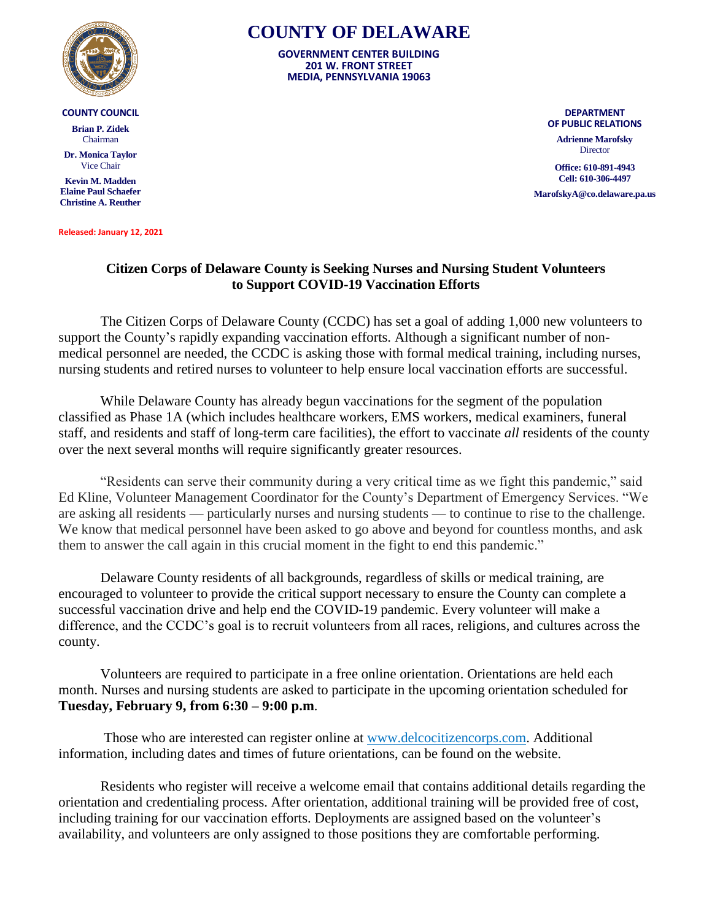

## **COUNTY COUNCIL**

**Brian P. Zidek** Chairman

**Dr. Monica Taylor** Vice Chair

**Kevin M. Madden Elaine Paul Schaefer Christine A. Reuther**

**Released: January 12, 2021**

## **COUNTY OF DELAWARE**

**GOVERNMENT CENTER BUILDING 201 W. FRONT STREET MEDIA, PENNSYLVANIA 19063**

> **DEPARTMENT OF PUBLIC RELATIONS**

**Adrienne Marofsky Director** 

**Office: 610-891-4943 Cell: 610-306-4497**

**MarofskyA@co.delaware.pa.us**

## **Citizen Corps of Delaware County is Seeking Nurses and Nursing Student Volunteers to Support COVID-19 Vaccination Efforts**

The Citizen Corps of Delaware County (CCDC) has set a goal of adding 1,000 new volunteers to support the County's rapidly expanding vaccination efforts. Although a significant number of nonmedical personnel are needed, the CCDC is asking those with formal medical training, including nurses, nursing students and retired nurses to volunteer to help ensure local vaccination efforts are successful.

While Delaware County has already begun vaccinations for the segment of the population classified as Phase 1A (which includes healthcare workers, EMS workers, medical examiners, funeral staff, and residents and staff of long-term care facilities), the effort to vaccinate *all* residents of the county over the next several months will require significantly greater resources.

"Residents can serve their community during a very critical time as we fight this pandemic," said Ed Kline, Volunteer Management Coordinator for the County's Department of Emergency Services. "We are asking all residents — particularly nurses and nursing students — to continue to rise to the challenge. We know that medical personnel have been asked to go above and beyond for countless months, and ask them to answer the call again in this crucial moment in the fight to end this pandemic."

Delaware County residents of all backgrounds, regardless of skills or medical training, are encouraged to volunteer to provide the critical support necessary to ensure the County can complete a successful vaccination drive and help end the COVID-19 pandemic. Every volunteer will make a difference, and the CCDC's goal is to recruit volunteers from all races, religions, and cultures across the county.

Volunteers are required to participate in a free online orientation. Orientations are held each month. Nurses and nursing students are asked to participate in the upcoming orientation scheduled for **Tuesday, February 9, from 6:30 – 9:00 p.m**.

Those who are interested can register online at [www.delcocitizencorps.com.](http://www.delcocitizencorps.com/) Additional information, including dates and times of future orientations, can be found on the website.

Residents who register will receive a welcome email that contains additional details regarding the orientation and credentialing process. After orientation, additional training will be provided free of cost, including training for our vaccination efforts. Deployments are assigned based on the volunteer's availability, and volunteers are only assigned to those positions they are comfortable performing.